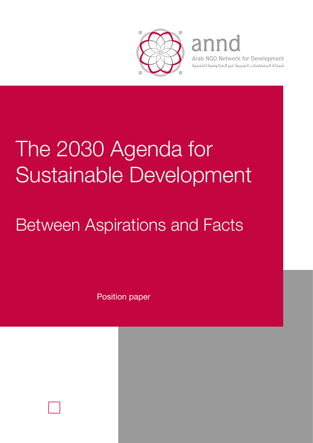

# annd

Arab NGO Network for Development شبكة المنظمات العربية غير الحكومية للتنمية

# The 2030 Agenda for Sustainable Development

# Between Aspirations and Facts

Position paper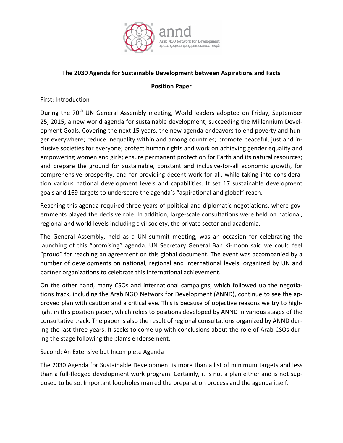

## **The 2030 Agenda for Sustainable Development between Aspirations and Facts**

## **Position Paper**

## First: Introduction

During the 70<sup>th</sup> UN General Assembly meeting, World leaders adopted on Friday, September 25, 2015, a new world agenda for sustainable development, succeeding the Millennium Development Goals. Covering the next 15 years, the new agenda endeavors to end poverty and hunger everywhere; reduce inequality within and among countries; promote peaceful, just and inclusive societies for everyone; protect human rights and work on achieving gender equality and empowering women and girls; ensure permanent protection for Earth and its natural resources; and prepare the ground for sustainable, constant and inclusive-for-all economic growth, for comprehensive prosperity, and for providing decent work for all, while taking into consideration various national development levels and capabilities. It set 17 sustainable development goals and 169 targets to underscore the agenda's "aspirational and global" reach.

Reaching this agenda required three years of political and diplomatic negotiations, where governments played the decisive role. In addition, large-scale consultations were held on national, regional and world levels including civil society, the private sector and academia.

The General Assembly, held as a UN summit meeting, was an occasion for celebrating the launching of this "promising" agenda. UN Secretary General Ban Ki-moon said we could feel "proud" for reaching an agreement on this global document. The event was accompanied by a number of developments on national, regional and international levels, organized by UN and partner organizations to celebrate this international achievement.

On the other hand, many CSOs and international campaigns, which followed up the negotiations track, including the Arab NGO Network for Development (ANND), continue to see the approved plan with caution and a critical eye. This is because of objective reasons we try to highlight in this position paper, which relies to positions developed by ANND in various stages of the consultative track. The paper is also the result of regional consultations organized by ANND during the last three years. It seeks to come up with conclusions about the role of Arab CSOs during the stage following the plan's endorsement.

#### Second: An Extensive but Incomplete Agenda

The 2030 Agenda for Sustainable Development is more than a list of minimum targets and less than a full-fledged development work program. Certainly, it is not a plan either and is not supposed to be so. Important loopholes marred the preparation process and the agenda itself.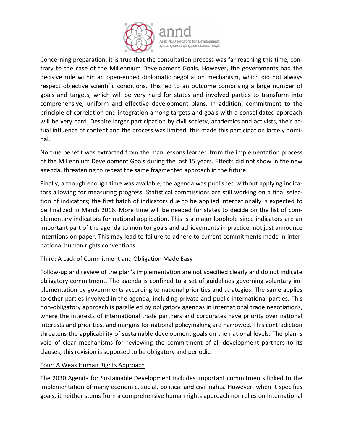

Concerning preparation, it is true that the consultation process was far reaching this time, contrary to the case of the Millennium Development Goals. However, the governments had the decisive role within an open-ended diplomatic negotiation mechanism, which did not always respect objective scientific conditions. This led to an outcome comprising a large number of goals and targets, which will be very hard for states and involved parties to transform into comprehensive, uniform and effective development plans. In addition, commitment to the principle of correlation and integration among targets and goals with a consolidated approach will be very hard. Despite larger participation by civil society, academics and activists, their actual influence of content and the process was limited; this made this participation largely nominal.

No true benefit was extracted from the man lessons learned from the implementation process of the Millennium Development Goals during the last 15 years. Effects did not show in the new agenda, threatening to repeat the same fragmented approach in the future.

Finally, although enough time was available, the agenda was published without applying indicators allowing for measuring progress. Statistical commissions are still working on a final selection of indicators; the first batch of indicators due to be applied internationally is expected to be finalized in March 2016. More time will be needed for states to decide on the list of complementary indicators for national application. This is a major loophole since indicators are an important part of the agenda to monitor goals and achievements in practice, not just announce intentions on paper. This may lead to failure to adhere to current commitments made in international human rights conventions.

# Third: A Lack of Commitment and Obligation Made Easy

Follow-up and review of the plan's implementation are not specified clearly and do not indicate obligatory commitment. The agenda is confined to a set of guidelines governing voluntary implementation by governments according to national priorities and strategies. The same applies to other parties involved in the agenda, including private and public international parties. This non-obligatory approach is paralleled by obligatory agendas in international trade negotiations, where the interests of international trade partners and corporates have priority over national interests and priorities, and margins for national policymaking are narrowed. This contradiction threatens the applicability of sustainable development goals on the national levels. The plan is void of clear mechanisms for reviewing the commitment of all development partners to its clauses; this revision is supposed to be obligatory and periodic.

#### Four: A Weak Human Rights Approach

The 2030 Agenda for Sustainable Development includes important commitments linked to the implementation of many economic, social, political and civil rights. However, when it specifies goals, it neither stems from a comprehensive human rights approach nor relies on international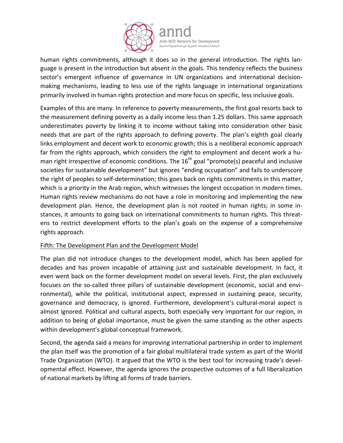

human rights commitments, although it does so in the general introduction. The rights language is present in the introduction but absent in the goals. This tendency reflects the business sector's emergent influence of governance in UN organizations and international decisionmaking mechanisms, leading to less use of the rights language in international organizations primarily involved in human rights protection and more focus on specific, less inclusive goals.

Examples of this are many. In reference to poverty measurements, the first goal resorts back to the measurement defining poverty as a daily income less than 1.25 dollars. This same approach underestimates poverty by linking it to income without taking into consideration other basic needs that are part of the rights approach to defining poverty. The plan's eighth goal clearly links employment and decent work to economic growth; this is a neoliberal economic approach far from the rights approach, which considers the right to employment and decent work a human right irrespective of economic conditions. The  $16<sup>th</sup>$  goal "promote(s) peaceful and inclusive societies for sustainable development" but ignores "ending occupation" and fails to underscore the right of peoples to self-determination; this goes back on rights commitments in this matter, which is a priority in the Arab region, which witnesses the longest occupation in modern times. Human rights review mechanisms do not have a role in monitoring and implementing the new development plan. Hence, the development plan is not rooted in human rights; in some instances, it amounts to going back on international commitments to human rights. This threatens to restrict development efforts to the plan's goals on the expense of a comprehensive rights approach.

# Fifth: The Development Plan and the Development Model

The plan did not introduce changes to the development model, which has been applied for decades and has proven incapable of attaining just and sustainable development. In fact, it even went back on the former development model on several levels. First, the plan exclusively focuses on the so-called three pillars of sustainable development (economic, social and environmental), while the political, institutional aspect, expressed in sustaining peace, security, governance and democracy, is ignored. Furthermore, development's cultural-moral aspect is almost ignored. Political and cultural aspects, both especially very important for our region, in addition to being of global importance, must be given the same standing as the other aspects within development's global conceptual framework.

Second, the agenda said a means for improving international partnership in order to implement the plan itself was the promotion of a fair global multilateral trade system as part of the World Trade Organization (WTO). It argued that the WTO is the best tool for increasing trade's developmental effect. However, the agenda ignores the prospective outcomes of a full liberalization of national markets by lifting all forms of trade barriers.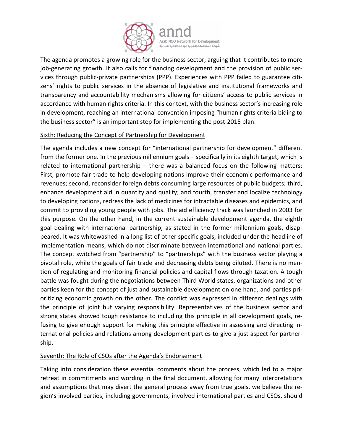

The agenda promotes a growing role for the business sector, arguing that it contributes to more job-generating growth. It also calls for financing development and the provision of public services through public-private partnerships (PPP). Experiences with PPP failed to guarantee citizens' rights to public services in the absence of legislative and institutional frameworks and transparency and accountability mechanisms allowing for citizens' access to public services in accordance with human rights criteria. In this context, with the business sector's increasing role in development, reaching an international convention imposing "human rights criteria biding to the business sector" is an important step for implementing the post-2015 plan.

# Sixth: Reducing the Concept of Partnership for Development

The agenda includes a new concept for "international partnership for development" different from the former one. In the previous millennium goals – specifically in its eighth target, which is related to international partnership – there was a balanced focus on the following matters: First, promote fair trade to help developing nations improve their economic performance and revenues; second, reconsider foreign debts consuming large resources of public budgets; third, enhance development aid in quantity and quality; and fourth, transfer and localize technology to developing nations, redress the lack of medicines for intractable diseases and epidemics, and commit to providing young people with jobs. The aid efficiency track was launched in 2003 for this purpose. On the other hand, in the current sustainable development agenda, the eighth goal dealing with international partnership, as stated in the former millennium goals, disappeared. It was whitewashed in a long list of other specific goals, included under the headline of implementation means, which do not discriminate between international and national parties. The concept switched from "partnership" to "partnerships" with the business sector playing a pivotal role, while the goals of fair trade and decreasing debts being diluted. There is no mention of regulating and monitoring financial policies and capital flows through taxation. A tough battle was fought during the negotiations between Third World states, organizations and other parties keen for the concept of just and sustainable development on one hand, and parties prioritizing economic growth on the other. The conflict was expressed in different dealings with the principle of joint but varying responsibility. Representatives of the business sector and strong states showed tough resistance to including this principle in all development goals, refusing to give enough support for making this principle effective in assessing and directing international policies and relations among development parties to give a just aspect for partnership.

# Seventh: The Role of CSOs after the Agenda's Endorsement

Taking into consideration these essential comments about the process, which led to a major retreat in commitments and wording in the final document, allowing for many interpretations and assumptions that may divert the general process away from true goals, we believe the region's involved parties, including governments, involved international parties and CSOs, should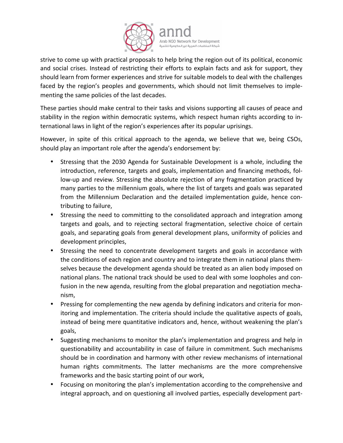

strive to come up with practical proposals to help bring the region out of its political, economic and social crises. Instead of restricting their efforts to explain facts and ask for support, they should learn from former experiences and strive for suitable models to deal with the challenges faced by the region's peoples and governments, which should not limit themselves to implementing the same policies of the last decades.

These parties should make central to their tasks and visions supporting all causes of peace and stability in the region within democratic systems, which respect human rights according to international laws in light of the region's experiences after its popular uprisings.

However, in spite of this critical approach to the agenda, we believe that we, being CSOs, should play an important role after the agenda's endorsement by:

- Stressing that the 2030 Agenda for Sustainable Development is a whole, including the introduction, reference, targets and goals, implementation and financing methods, follow-up and review. Stressing the absolute rejection of any fragmentation practiced by many parties to the millennium goals, where the list of targets and goals was separated from the Millennium Declaration and the detailed implementation guide, hence contributing to failure,
- Stressing the need to committing to the consolidated approach and integration among targets and goals, and to rejecting sectoral fragmentation, selective choice of certain goals, and separating goals from general development plans, uniformity of policies and development principles,
- Stressing the need to concentrate development targets and goals in accordance with the conditions of each region and country and to integrate them in national plans themselves because the development agenda should be treated as an alien body imposed on national plans. The national track should be used to deal with some loopholes and confusion in the new agenda, resulting from the global preparation and negotiation mechanism,
- Pressing for complementing the new agenda by defining indicators and criteria for monitoring and implementation. The criteria should include the qualitative aspects of goals, instead of being mere quantitative indicators and, hence, without weakening the plan's goals,
- Suggesting mechanisms to monitor the plan's implementation and progress and help in questionability and accountability in case of failure in commitment. Such mechanisms should be in coordination and harmony with other review mechanisms of international human rights commitments. The latter mechanisms are the more comprehensive frameworks and the basic starting point of our work,
- Focusing on monitoring the plan's implementation according to the comprehensive and integral approach, and on questioning all involved parties, especially development part-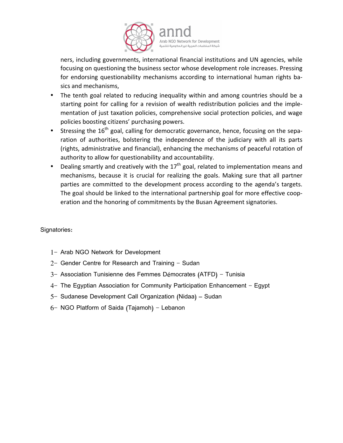

ners, including governments, international financial institutions and UN agencies, while focusing on questioning the business sector whose development role increases. Pressing for endorsing questionability mechanisms according to international human rights basics and mechanisms,

- The tenth goal related to reducing inequality within and among countries should be a starting point for calling for a revision of wealth redistribution policies and the implementation of just taxation policies, comprehensive social protection policies, and wage policies boosting citizens' purchasing powers.
- Stressing the  $16<sup>th</sup>$  goal, calling for democratic governance, hence, focusing on the separation of authorities, bolstering the independence of the judiciary with all its parts (rights, administrative and financial), enhancing the mechanisms of peaceful rotation of authority to allow for questionability and accountability.
- Dealing smartly and creatively with the 17<sup>th</sup> goal, related to implementation means and mechanisms, because it is crucial for realizing the goals. Making sure that all partner parties are committed to the development process according to the agenda's targets. The goal should be linked to the international partnership goal for more effective cooperation and the honoring of commitments by the Busan Agreement signatories.

Signatories:

- 1- Arab NGO Network for Development
- 2- Gender Centre for Research and Training Sudan
- 3- Association Tunisienne des Femmes Démocrates (ATFD) Tunisia
- 4- The Egyptian Association for Community Participation Enhancement Egypt
- 5- Sudanese Development Call Organization (Nidaa) Sudan
- 6- NGO Platform of Saida (Tajamoh) Lebanon